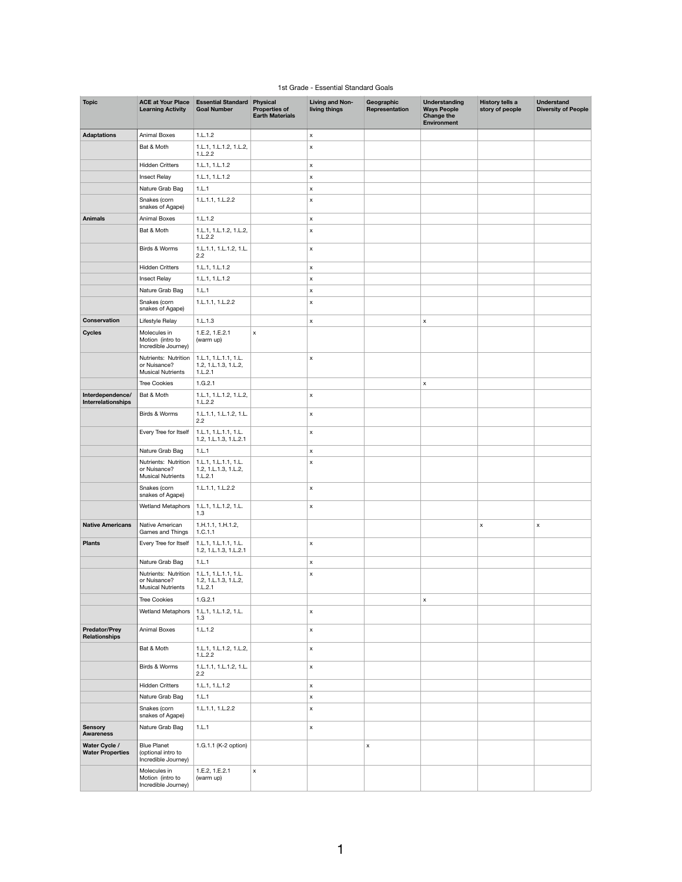## 1st Grade - Essential Standard Goals

| <b>Topic</b>                                 | <b>ACE at Your Place</b><br><b>Learning Activity</b>                                    | <b>Essential Standard Physical</b><br><b>Goal Number</b> | <b>Properties of</b><br><b>Earth Materials</b> | <b>Living and Non-</b><br>living things | Geographic<br>Representation | <b>Understanding</b><br><b>Ways People</b><br><b>Change the</b><br><b>Environment</b> | <b>History tells a</b><br>story of people | <b>Understand</b><br><b>Diversity of People</b> |
|----------------------------------------------|-----------------------------------------------------------------------------------------|----------------------------------------------------------|------------------------------------------------|-----------------------------------------|------------------------------|---------------------------------------------------------------------------------------|-------------------------------------------|-------------------------------------------------|
| <b>Adaptations</b>                           | <b>Animal Boxes</b>                                                                     | 1.L.1.2                                                  |                                                | $\mathsf{x}$                            |                              |                                                                                       |                                           |                                                 |
|                                              | Bat & Moth                                                                              | 1.L.1, 1.L.1.2, 1.L.2,                                   |                                                | $\boldsymbol{\mathsf{x}}$               |                              |                                                                                       |                                           |                                                 |
|                                              |                                                                                         | 1.L.2.2                                                  |                                                |                                         |                              |                                                                                       |                                           |                                                 |
|                                              | <b>Hidden Critters</b>                                                                  | 1.L.1, 1.L.1.2                                           |                                                | $\pmb{\mathsf{X}}$                      |                              |                                                                                       |                                           |                                                 |
|                                              | Insect Relay                                                                            | 1.L.1, 1.L.1.2                                           |                                                | $\pmb{\mathsf{X}}$                      |                              |                                                                                       |                                           |                                                 |
|                                              | Nature Grab Bag                                                                         | 1.L.1                                                    |                                                | $\boldsymbol{\mathsf{x}}$               |                              |                                                                                       |                                           |                                                 |
|                                              | Snakes (corn<br>snakes of Agape)                                                        | 1.L.1.1, 1.L.2.2                                         |                                                | $\mathsf X$                             |                              |                                                                                       |                                           |                                                 |
| <b>Animals</b>                               | <b>Animal Boxes</b>                                                                     | 1.L.1.2                                                  |                                                | $\mathsf{x}$                            |                              |                                                                                       |                                           |                                                 |
|                                              | Bat & Moth                                                                              | 1.L.1, 1.L.1.2, 1.L.2,<br>1.L.2.2                        |                                                | $\boldsymbol{\mathsf{x}}$               |                              |                                                                                       |                                           |                                                 |
|                                              | Birds & Worms                                                                           | 1.L.1.1, 1.L.1.2, 1.L.<br>2.2                            |                                                | $\mathsf X$                             |                              |                                                                                       |                                           |                                                 |
|                                              | <b>Hidden Critters</b>                                                                  | 1.L.1, 1.L.1.2                                           |                                                | $\pmb{\mathsf{X}}$                      |                              |                                                                                       |                                           |                                                 |
|                                              | Insect Relay                                                                            | 1.L.1, 1.L.1.2                                           |                                                | $\boldsymbol{\mathsf{x}}$               |                              |                                                                                       |                                           |                                                 |
|                                              | Nature Grab Bag                                                                         | 1.L.1                                                    |                                                | $\boldsymbol{\mathsf{x}}$               |                              |                                                                                       |                                           |                                                 |
|                                              | Snakes (corn<br>snakes of Agape)                                                        | 1.L.1.1, 1.L.2.2                                         |                                                | $\boldsymbol{\mathsf{x}}$               |                              |                                                                                       |                                           |                                                 |
| <b>Conservation</b>                          | Lifestyle Relay                                                                         | 1.L.1.3                                                  |                                                | $\mathsf X$                             |                              | $\mathsf X$                                                                           |                                           |                                                 |
| <b>Cycles</b>                                | Molecules in<br>Motion (intro to<br>Incredible Journey)                                 | 1.E.2, 1.E.2.1<br>(warm up)                              | $\pmb{\mathsf{X}}$                             |                                         |                              |                                                                                       |                                           |                                                 |
|                                              | Nutrients: Nutrition   1.L.1, 1.L.1.1, 1.L.<br>or Nuisance?<br><b>Musical Nutrients</b> | 1.2, 1.L.1.3, 1.L.2,<br>1.L.2.1                          |                                                | $\boldsymbol{\mathsf{x}}$               |                              |                                                                                       |                                           |                                                 |
|                                              | <b>Tree Cookies</b>                                                                     | 1.G.2.1                                                  |                                                |                                         |                              | $\mathsf X$                                                                           |                                           |                                                 |
| Interdependence/<br>Interrelationships       | Bat & Moth                                                                              | 1.L.1, 1.L.1.2, 1.L.2,<br>1.L.2.2                        |                                                | $\mathsf{x}$                            |                              |                                                                                       |                                           |                                                 |
|                                              | Birds & Worms                                                                           | 1.L.1.1, 1.L.1.2, 1.L.<br>2.2                            |                                                | $\boldsymbol{\mathsf{x}}$               |                              |                                                                                       |                                           |                                                 |
|                                              | Every Tree for Itself                                                                   | 1.L.1, 1.L.1.1, 1.L.<br>1.2, 1.L.1.3, 1.L.2.1            |                                                | $\pmb{\mathsf{X}}$                      |                              |                                                                                       |                                           |                                                 |
|                                              | Nature Grab Bag                                                                         | 1.L.1                                                    |                                                | X                                       |                              |                                                                                       |                                           |                                                 |
|                                              | Nutrients: Nutrition<br>or Nuisance?<br><b>Musical Nutrients</b>                        | 1.L.1, 1.L.1.1, 1.L.<br>1.2, 1.L.1.3, 1.L.2,<br>1.L.2.1  |                                                | X                                       |                              |                                                                                       |                                           |                                                 |
|                                              | Snakes (corn<br>snakes of Agape)                                                        | 1.L.1.1, 1.L.2.2                                         |                                                | $\pmb{\mathsf{X}}$                      |                              |                                                                                       |                                           |                                                 |
|                                              | <b>Wetland Metaphors</b>                                                                | 1.L.1, 1.L.1.2, 1.L.<br>1.3                              |                                                | $\boldsymbol{\mathsf{x}}$               |                              |                                                                                       |                                           |                                                 |
| <b>Native Americans</b>                      | Native American<br>Games and Things                                                     | 1.H.1.1, 1.H.1.2,<br>1.C.1.1                             |                                                |                                         |                              |                                                                                       | X                                         | $\pmb{\mathsf{X}}$                              |
| <b>Plants</b>                                | Every Tree for Itself                                                                   | 1.L.1, 1.L.1.1, 1.L.<br>1.2, 1.L.1.3, 1.L.2.1            |                                                | $\pmb{\mathsf{X}}$                      |                              |                                                                                       |                                           |                                                 |
|                                              | Nature Grab Bag                                                                         | 1.L.1                                                    |                                                | X                                       |                              |                                                                                       |                                           |                                                 |
|                                              | Nutrients: Nutrition<br>or Nuisance?<br><b>Musical Nutrients</b>                        | 1.L.1, 1.L.1.1, 1.L.<br>1.2, 1.L.1.3, 1.L.2,<br>1.L.2.1  |                                                | X                                       |                              |                                                                                       |                                           |                                                 |
|                                              | <b>Tree Cookies</b>                                                                     | 1.G.2.1                                                  |                                                |                                         |                              | $\mathsf X$                                                                           |                                           |                                                 |
|                                              | Wetland Metaphors   1.L.1, 1.L.1.2, 1.L.                                                | 1.3                                                      |                                                | X                                       |                              |                                                                                       |                                           |                                                 |
| <b>Predator/Prey</b><br><b>Relationships</b> | <b>Animal Boxes</b>                                                                     | 1.L.1.2                                                  |                                                | $\mathsf{x}$                            |                              |                                                                                       |                                           |                                                 |
|                                              | Bat & Moth                                                                              | 1.L.1, 1.L.1.2, 1.L.2,<br>1.L.2.2                        |                                                | $\pmb{\mathsf{X}}$                      |                              |                                                                                       |                                           |                                                 |
|                                              | Birds & Worms                                                                           | 1.L.1.1, 1.L.1.2, 1.L.<br>2.2                            |                                                | $\mathsf X$                             |                              |                                                                                       |                                           |                                                 |
|                                              | <b>Hidden Critters</b>                                                                  | 1.L.1, 1.L.1.2                                           |                                                | $\mathsf{x}$                            |                              |                                                                                       |                                           |                                                 |
|                                              | Nature Grab Bag                                                                         | 1.L.1                                                    |                                                | $\mathsf{x}$                            |                              |                                                                                       |                                           |                                                 |
|                                              | Snakes (corn<br>snakes of Agape)                                                        | 1.L.1.1, 1.L.2.2                                         |                                                | X                                       |                              |                                                                                       |                                           |                                                 |
| <b>Sensory</b><br><b>Awareness</b>           | Nature Grab Bag                                                                         | 1.L.1                                                    |                                                | $\pmb{\mathsf{X}}$                      |                              |                                                                                       |                                           |                                                 |
| Water Cycle /<br><b>Water Properties</b>     | <b>Blue Planet</b><br>(optional intro to<br>Incredible Journey)                         | 1.G.1.1 (K-2 option)                                     |                                                |                                         | $\pmb{\times}$               |                                                                                       |                                           |                                                 |
|                                              | Molecules in<br>Motion (intro to<br>Incredible Journey)                                 | 1.E.2, 1.E.2.1<br>(warm up)                              | $\pmb{\mathsf{X}}$                             |                                         |                              |                                                                                       |                                           |                                                 |